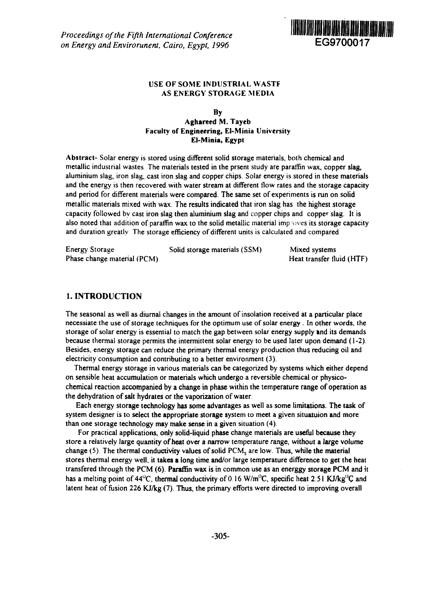*Proceedings of the Fifth International Conference on Energy and Envirorunent, Cairo, Egypt, 1996* **EG9700017**



## USE OF SOME INDUSTRIAL WASTF AS ENERGY STORAGE MEDIA

### By Aghareed M. Tayeb Faculty of Engineering, El-Minia University El-Minia, Egypt

Abstract- Solar energy is stored using different solid storage materials, both chemical and metallic industrial wastes The materials tested in the prsent study are paraffin wax, copper slag, aluminium slag, iron slag, cast iron slag and copper chips. Solar energy is stored in these materials and the energy is then recovered with water stream at different flow rates and the storage capacity and period for different materials were compared. The same set of experiments is run on solid metallic materials mixed with wax. The results indicated that iron slag has the highest storage capacity followed by cast iron slag then aluminium slag and copper chips and copper slag. It is also noted that addition of paraffin wax to the solid metallic material improves its storage capacity and duration greatly The storage efficiency of different units is calculated and compared

| <b>Energy Storage</b>       | Solid storage materials (SSM) | Mixed systems             |
|-----------------------------|-------------------------------|---------------------------|
| Phase change material (PCM) |                               | Heat transfer fluid (HTF) |

### 1. INTRODUCTION

The seasonal as well as diurnal changes in the amount of insolation received at a particular place necessiate the use of storage techniques for the optimum use of solar energy . In other words, the storage of solar energy is essential to match the gap between solar energy supply and its demands because thermal storage permits the intermittent solar energy to be used later upon demand (1-2). Besides, energy storage can reduce the primary thermal energy production thus reducing oil and electricity consumption and contributing to a better environment (3).

Thermal energy storage in various materials can be categorized by systems which either depend on sensible heat accumulation or materials which undergo a reversible chemical or physicochemical reaction accompanied by a change in phase within the temperature range of operation as the dehydration of salt hydrates or the vaporization of water

Each energy storage technology has some advantages as well as some limitations. The task of system designer is to select the appropriate storage system to meet a given situatuion and more than one storage technology may make sense in a given situation (4).

For practical applications, only solid-liquid phase change materials are useful because they store a relatively large quantity of heat over a narrow temperature range, without a large volume change  $(5)$ . The thermal conductivity values of solid  $PCM<sub>s</sub>$  are low. Thus, while the material stores thermal energy well, it takes a long time and/or large temperature difference to get the heat transfered through the PCM (6). Paraffin wax is in common use as an energgy storage PCM and it has a melting point of 44<sup>o</sup>C, thermal conductivity of 0.16 W/m<sup>o</sup>C, specific heat 2.51 KJ/kg<sup>o</sup>C and latent heat of fusion 226 KJ/kg (7). Thus, the primary efforts were directed to improving overall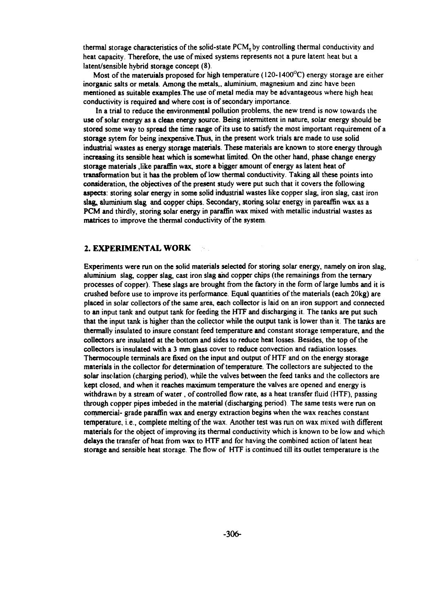**thermal storage characteristics of the solid-state PCMsby controlling thermal conductivity and heat capacity. Therefore, the use of mixed systems represents not a pure latent heat but a latent/sensible hybrid storage concept (8).**

**Most of the materuials proposed for high temperature (120-1400°C) energy storage are either inorganic salts or metals. Among the metals,, aluminium, magnesium and zinc have been mentioned as suitable examples. The use of metal media may be advantageous where high heat conductivity is required and where cost is of secondary importance.**

**In a trial to reduce the environmental pollution problems, the new trend is now towards the use of solar energy as a clean energy source. Being intermittent in nature, solar energy should be stored some way to spread the time range of its use to satisfy the most important requirement of a storage sytem for being inexpensive.Thus, in the present work trials are made to use solid industrial wastes as energy storage materials. These materials are known to store energy through increasing its sensible heat which is somewhat limited. On the other hand, phase change energy storage materials ,like paraffin wax, store a bigger amount of energy as latent heat of transformation but it has the problem of low thermal conductivity. Taking all these points into consideration, the objectives of the present study were put such that it covers the following aspects: storing solar energy in some solid industrial wastes like copper slag, iron slag, cast iron slag, aluminium slag and copper chips. Secondary, storing solar energy in pareaffin wax as a PCM and thirdly, storing solar energy in paraffin wax mixed with metallic industrial wastes as matrices to improve the thermal conductivity of the system.**

### **2. EXPERIMENTAL WORK**

**Experiments were run on the solid materials selected for storing solar energy, namely on iron slag, aluminium slag, copper slag, cast iron slag and copper chips (the remainings from the ternary processes of copper). These slags are brought from the factory in the form of large lumbs and it is crushed before use to improve its performance. Equal quantities of the materials (each 20kg) are placed in solar collectors of the same area, each collector is laid on an iron support and connected to an input tank and output tank for feeding the HTF and discharging it. The tanks are put such that the input tank is higher than the collector while the output tank is lower than it The tanks are thermally insulated to insure constant feed temperature and constant storage temperature, and the collectors are insulated at the bottom and sides to reduce heat losses. Besides, the top of the collectors is insulated with a 3 mm glass cover to reduce convection and radiation losses. Thermocouple terminals are fixed on the input and output of HTF and on the energy storage materials in the collector for determination of temperature. The collectors are subjected to the solar insolation (charging period), while the valves between the feed tanks and the collectors are kept closed, and when it reaches maximum temperature the valves are opened and energy is withdrawn by a stream of water, of controlled flow rate, as a heat transfer fluid (HTF), passing through copper pipes imbeded in the material (discharging period) The same tests were run on commercial- grade paraffin wax and energy extraction begins when the wax reaches constant temperature, i.e., complete melting of the wax. Another test was run on wax mixed with different materials for the object of improving its thermal conductivity which is known to be low and which delays the transfer of heat from wax to HTF and for having the combined action of latent heat storage and sensible heat storage. The flow of HTF is continued till its outlet temperature is the**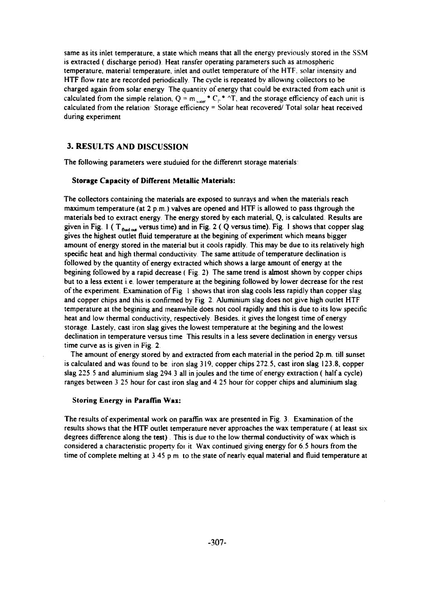same as its inlet temperature, a state which means that all the energy previously stored in the SSM is extracted ( discharge period) Heat ransfer operating parameters such as atmospheric temperature, material temperature, inlet and outlet temperature of the HTF, solar intensity and HTF flow rate are recorded periodically The cycle is repeated by allowing collectors to be charged again from solar energy The quantity of energy that could be extracted from each unit is calculated from the simple relation,  $Q = m_{\text{water}}^* C_p^* \wedge T$ , and the storage efficiency of each unit is calculated from the relation Storage efficiency = Solar heat recovered/ Total solar heat received during experiment

### **3. RESULTS AND DISCUSSION**

The following parameters were studuied for the differenrt storage materials:

#### Storage Capacity of Different Metallic Materials:

The collectors containing the materials are exposed to sunrays and when the materials reach maximum temperature (at  $2 p.m.$ ) valves are opened and HTF is allowed to pass thgrough the materials bed to extract energy The energy stored by each material, Q, is calculated Results are given in Fig. 1 ( T<sub>fludod</sub> versus time) and in Fig. 2 ( Q versus time). Fig. 1 shows that copper slag gives the highest outlet fluid temperature at the begining of experiment which means bigger amount of energy stored in the material but it cools rapidly. This may be due to its relatively high specific heat and high thermal conductivity. The same attitude of temperature declination is followed by the quantity of energy extracted which shows a large amount of energy at the begining followed by a rapid decrease ( Fig. 2). The same trend is almost shown by copper chips but to a less extent i.e. lower temperature at the begining followed by lower decrease for the rest of the experiment. Examination of Fig 1 shows that iron slag cools less rapidly than copper slag and copper chips and this is confirmed by Fig 2 Aluminium slag does not give high outlet HTF temperature at the begining and meanwhile does not cool rapidly and this is due to its low specific heat and low thermal conductivity, respectively Besides, it gives the longest time of energy storage Lastely, cast iron slag gives the lowest temperature at the begining and the lowest declination in temperature versus time This results in a less severe declination in energy versus time curve as is given in Fig. 2.

The amount of energy stored by and extracted from each material in the period 2p.m. till sunset is calculated and was found to be iron slag 319, copper chips 272.5, cast iron slag 123.8, copper slag 225 5 and aluminium slag 294 3 all in joules and the time of energy extraction ( half a cycle) ranges between 3 25 hour for cast iron slag and 4 25 hour for copper chips and aluminium slag

#### Storing Energy in Paraffin Wax:

The results of experimental work on paraffin wax are presented in Fig. 3. Examination of the results shows that the HTF outlet temperature never approaches the wax temperature ( at least six degrees difference along the test) . This is due to the low thermal conductivity of wax which is considered a characteristic property foi it Wax continued giving energy for 6.5 hours from the time of complete melting at 3.45 p.m. to the state of nearly equal material and fluid temperature at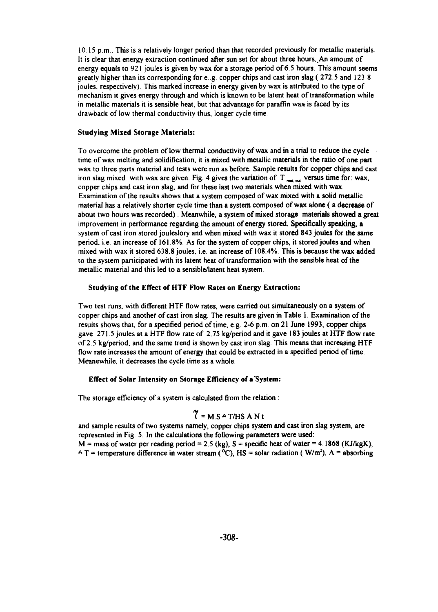**10 15 p.m.. This is a relatively longer period than that recorded previously for metallic materials. It is clear that energy extraction continued after sun set for about three hours. An amount of energy equals to 921 joules is given by wax for a storage period of 6.5 hours. This amount seems greatly higher than its corresponding for e.g. copper chips and cast iron slag ( 272.5 and 123 8 joules, respectively). This marked increase in energy given by wax is attributed to the type of mechanism it gives energy through and which is known to be latent heat of transformation while in metallic materials it is sensible heat, but that advantage for paraffin wax is faced by its drawback of low thermal conductivity thus, longer cycle time**

#### **Studying Mixed Storage Materials:**

**To overcome the problem of low thermal conductivity of wax and in a trial to reduce the cycle time of wax melting and solidification, it is mixed with metallic materials in the ratio of one part wax to three parts material and tests were run as before. Sample results for copper chips and cast** iron slag mixed with wax are given. Fig. 4 gives the variation of T<sub>rax</sub> versus time for: wax, **copper chips and cast iron slag, and for these last two materials when mixed with wax. Examination of the results shows that a system composed of wax mixed with a solid metallic material has a relatively shorter cycle time than a system composed of wax alone ( a decrease of about two hours was recorded). Meanwhile, a system of mixed storage materials showed a great improvement in performance regarding the amount of energy stored. Specifically speaking, a system of cast iron stored jouleslory and when mixed with wax it stored 843 joules for the same period, i.e an increase of 161.8%. As for the system of copper chips, it stored joules and when mixed with wax it stored 638.8 joules, i.e. an increase of 108.4%. This is because the wax added to the system participated with its latent heat of transformation with the sensible heat of the metallic material and this led to a sensible/latent heat system.**

### **Studying of the Effect of HTF Flow Rates on Energy Extraction:**

**Two test runs, with different HTF flow rates, were carried out simultaneously on a system of copper chips and another of cast iron slag. The results are given in Table 1. Examination of the results shows that, for a specified period of time, e.g. 2-6 p.m. on 21 June 1993, copper chips gave 271.5 joules at a HTF flow rate of 2.75 kg/period and it gave 183 joules at HTF flow rate of 2 5 kg/period, and the same trend is shown by cast iron slag. This means that increasing HTF flow rate increases the amount of energy that could be extracted in a specified period of time. Meanewhile, it decreases the cycle time as a whole.**

#### **Effect of Solar Intensity on Storage Efficiency of a "System:**

 $\overline{a}$ 

**The storage efficiency of a system is calculated from the relation :**

$$
7 = M.S \triangle T/HS ANt
$$

**and sample results of two systems namely, copper chips system and cast iron slag system, are represented in Fig 5. In the calculations the following parameters were used:**  $M =$  mass of water per reading period = 2.5 (kg),  $S =$  specific heat of water = 4.1868 (KJ/kgK),  $A T$  = temperature difference in water stream (<sup> $\delta$ </sup>C), HS = solar radiation (W/m<sup>2</sup>), A = absorbing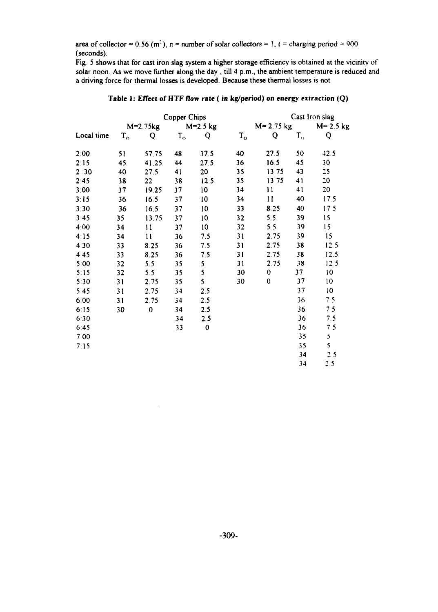area of collector = 0.56 (m<sup>2</sup>), n = number of solar collectors = 1, t = charging period = 900 (seconds).

Fig. 5 shows that for cast iron slag system a higher storage efficiency is obtained at the vicinity of solar noon As we move further along the day , till 4 p.m., the ambient temperature is reduced and a driving force for thermal losses is developed. Because these thermal losses is not

|            |             | Copper Chips  |             |             |               |               | Cast Iron siag          |                 |  |  |
|------------|-------------|---------------|-------------|-------------|---------------|---------------|-------------------------|-----------------|--|--|
|            | $M=2.75kg$  |               | $M=2.5$ kg  |             | $M = 2.75$ kg |               | $M = 2.5$ kg            |                 |  |  |
| Local time | $T_{\rm o}$ | Q             | $T_{\rm o}$ | Q           | $T_{o}$       | Q             | $\mathbf{T}_\mathrm{o}$ | Q               |  |  |
| 2:00       | 51          | 57.75         | 48          | 37.5        | 40            | 27.5          | 50                      | 42.5            |  |  |
| 2:15       | 45          | 41.25         | 44          | 27.5        | 36            | 16.5          | 45                      | 30              |  |  |
| 2:30       | 40          | 27.5          | 41          | 20          | 35            | 13.75         | 43                      | 25              |  |  |
| 2:45       | 38          | 22            | 38          | 12.5        | 35            | 13.75         | 41                      | 20              |  |  |
| 3:00       | 37          | 19.25         | 37          | 10          | 34            | $\mathbf{11}$ | 41                      | 20              |  |  |
| 3:15       | 36          | 16.5          | 37          | 10          | 34            | $\mathbf{11}$ | 40                      | 17.5            |  |  |
| 3:30       | 36          | 16.5          | 37          | 10          | 33            | 8.25          | 40                      | 17 <sub>5</sub> |  |  |
| 3:45       | 35          | 13.75         | 37          | 10          | 32            | 5.5           | 39                      | 15              |  |  |
| 4:00       | 34          | $\mathbf{11}$ | 37          | 10          | 32            | 5.5           | 39                      | 15              |  |  |
| 4:15       | 34          | $\mathbf{1}$  | 36          | 7.5         | 31            | 2.75          | 39                      | 15              |  |  |
| 4:30       | 33          | 8.25          | 36          | 7.5         | 31            | 2.75          | 38                      | 12.5            |  |  |
| 4:45       | 33          | 8.25          | 36          | 7.5         | 31            | 2.75          | 38                      | 12.5            |  |  |
| 5.00       | 32          | 5.5           | 35          | 5           | 31            | 2.75          | 38                      | 12.5            |  |  |
| 5:15       | 32          | 5.5           | 35          | 5           | 30            | $\bf{0}$      | 37                      | 10              |  |  |
| 5:30       | 31          | 2.75          | 35          | 5           | 30            | 0             | 37                      | 10              |  |  |
| 5:45       | 31          | 2.75          | 34          | 2.5         |               |               | 37                      | $\overline{10}$ |  |  |
| 6:00       | 31          | 2.75          | 34          | 2.5         |               |               | 36                      | 75              |  |  |
| 6:15       | 30          | $\bf{0}$      | 34          | 2.5         |               |               | 36                      | 7 <sub>5</sub>  |  |  |
| 6:30       |             |               | 34          | 2.5         |               |               | 36                      | 7.5             |  |  |
| 6:45       |             |               | 33          | $\mathbf 0$ |               |               | 36                      | 75              |  |  |
| 7:00       |             |               |             |             |               |               | 35                      | 5               |  |  |
| 7:15       |             |               |             |             |               |               | 35                      | 5               |  |  |
|            |             |               |             |             |               |               | 34                      | 25              |  |  |
|            |             |               |             |             |               |               | 34                      | 2.5             |  |  |

 $\bar{z}$ 

### **Table 1: Effect of HTF flow rate (in kg/period) on** energy extraction (Q)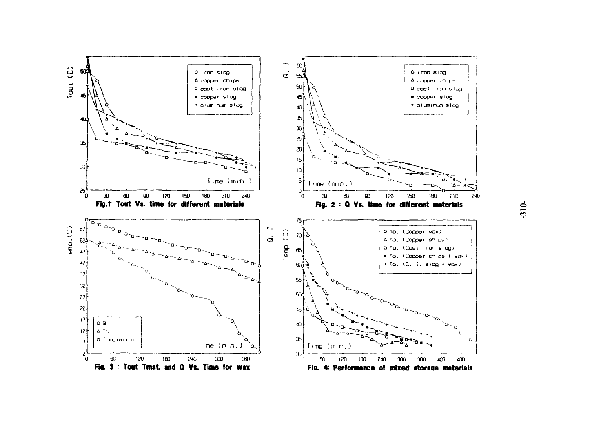

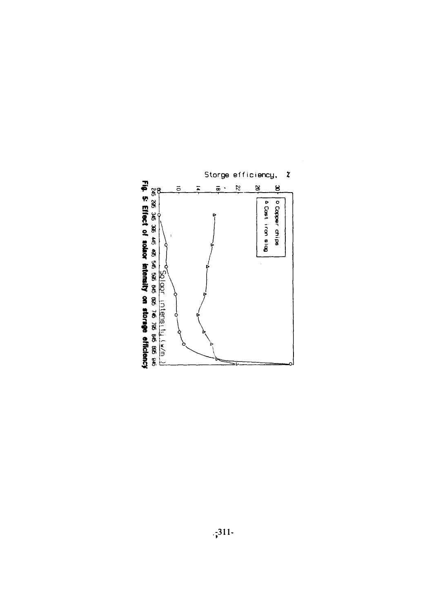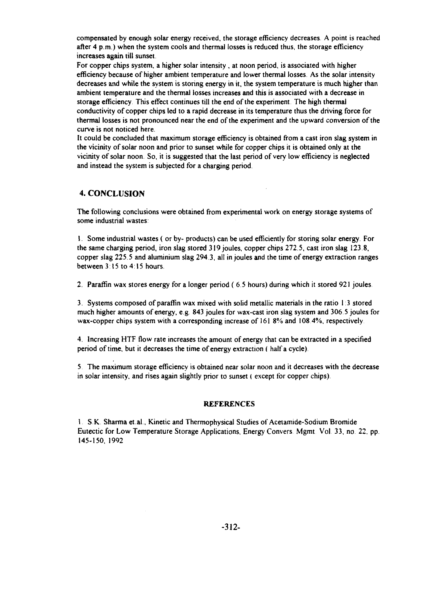compensated by enough solar energy received, the storage efficiency decreases A point is reached after  $4 p.m.$ ) when the system cools and thermal losses is reduced thus, the storage efficiency increases again till sunset.

For copper chips system, a higher solar intensity , at noon period, is associated with higher efficiency because of higher ambient temperature and lower thermal losses. As the solar intensity decreases and while the system is storing energy in it, the system temperature is much higher than ambient temperature and the thermal losses increases and this is associated with a decrease in storage efficiency This effect continues till the end of the experiment The high thermal conductivity of copper chips led to a rapid decrease in its temperature thus the driving force for thermal losses is not pronounced near the end of the experiment and the upward conversion of the curve is not noticed here.

It could be concluded that maximum storage efficiency is obtained from a cast iron slag system in the vicinity of solar noon and prior to sunset while for copper chips it is obtained only at the vicinity of solar noon. So, it is suggested that the last period of very low efficiency is neglected and instead the system is subjected for a charging period.

# **4. CONCLUSION**

The following conclusions were obtained from experimental work on energy storage systems of some industrial wastes:

1. Some industrial wastes ( or by- products) can be used efficiently for storing solar energy. For the same charging period, iron slag stored 319 joules, copper chips 272.5, cast iron slag 123.8, copper slag 225.5 and aluminium slag 294 3, all in joules and the time of energy extraction ranges between 3:15 to 4:15 hours.

2. Paraffin wax stores energy for a longer period (6 5 hours) during which it stored 921 joules

3. Systems composed of paraffin wax mixed with solid metallic materials in the ratio 1 3 stored much higher amounts of energy, e.g. 843 joules for wax-cast iron slag system and 306 5 joules for wax-copper chips system with a corresponding increase of 161 8% and 108.4%, respectively.

4. Increasing HTF flow rate increases the amount of energy that can be extracted in a specified period of time, but it decreases the time of energy extraction ( half a cycle)

5 The maximum storage efficiency is obtained near solar noon and it decreases with the decrease in solar intensity, and rises again slightly prior to sunset ( except for copper chips).

#### **REFERENCES**

1 S K Sharma et.al.. Kinetic and Thermophysical Studies of Acetamide-Sodium Bromide Eutectic for Low Temperature Storage Applications, Energy Convers. Mgmt. Vol. 33, no. 22, pp. 145-150, 1992